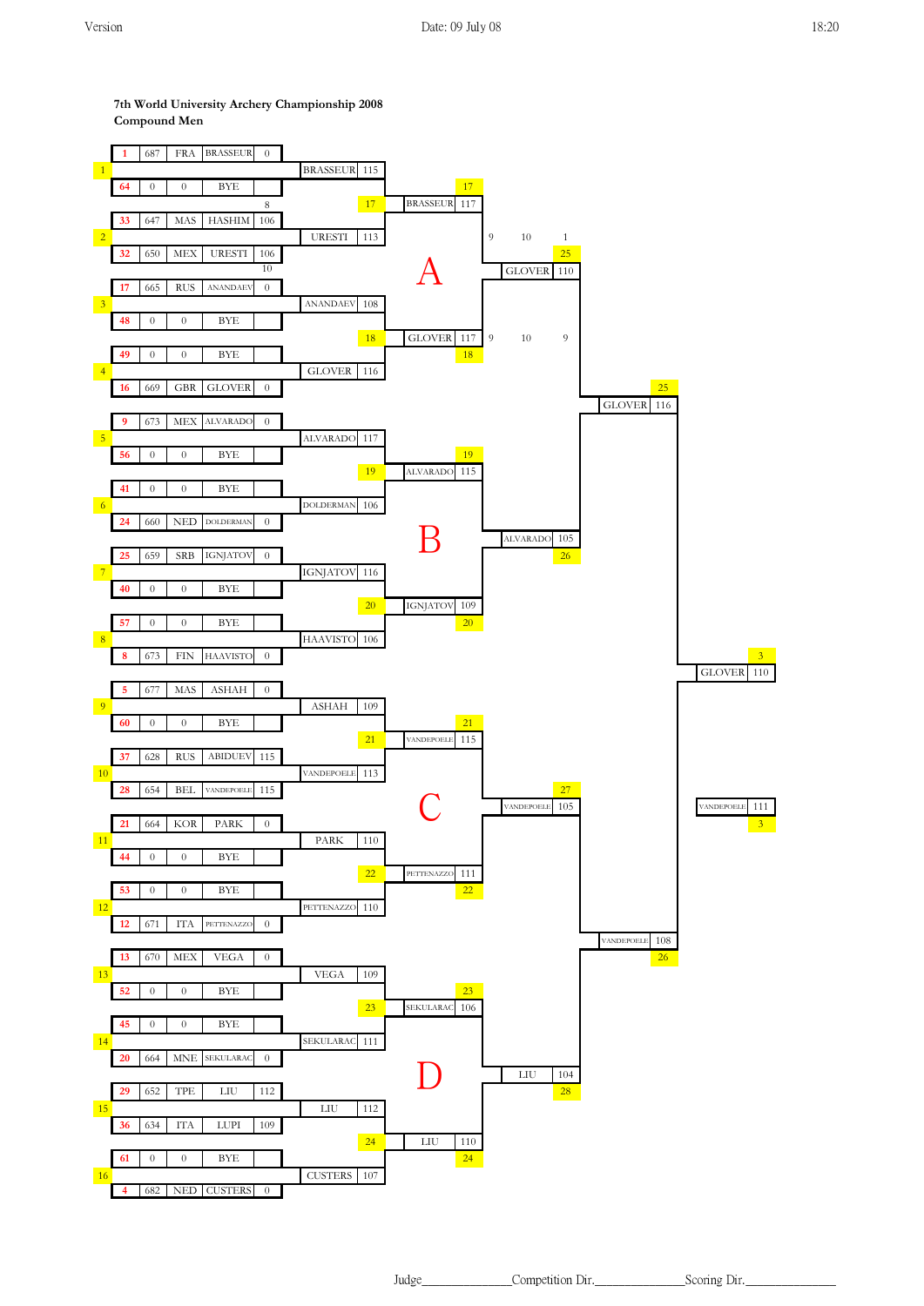## **7th World University Archery Championship 2008 Compound Men**



Judge\_\_\_\_\_\_\_\_\_\_\_\_\_\_\_Competition Dir.\_\_\_\_\_\_\_\_\_\_\_\_\_\_\_Scoring Dir.\_\_\_\_\_\_\_\_\_\_\_\_\_\_\_